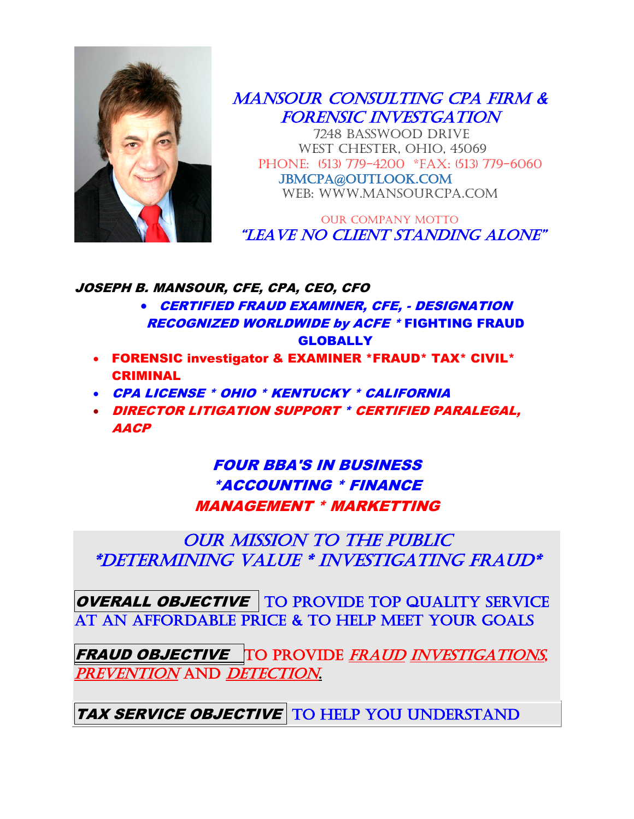

MANSOUR CONSULTING CPA FIRM & FORENSIC INVESTGATION

 7248 BASSWOOD DRIVE WEST CHESTER, OHIO, 45069 Phone: (513) 779-4200 \*Fax: (513) 779-6060 JBMCPA@OUTLOOK.COM web: www.mansourcpa.com

OUR COMPANY MOTTO "Leave no client standing alone"

JOSEPH B. MANSOUR, CFE, CPA, CEO, CFO

• CERTIFIED FRAUD EXAMINER, CFE, - DESIGNATION RECOGNIZED WORLDWIDE by ACFE \* FIGHTING FRAUD **GLOBALLY** 

- FORENSIC investigator & EXAMINER \*FRAUD\* TAX\* CIVIL\* CRIMINAL
- CPA LICENSE \* OHIO \* KENTUCKY \* CALIFORNIA
- DIRECTOR LITIGATION SUPPORT \* CERTIFIED PARALEGAL, AACP

### FOUR BBA'S IN BUSINESS \*ACCOUNTING \* FINANCE MANAGEMENT \* MARKETTING

Our mission to the public \*DETERMINING VALUE \* INVESTIGATING FRAUD\*

OVERALL OBJECTIVE | TO PROVIDE TOP QUALITY SERVICE AT AN AFFORDABLE PRICE & TO HELP MEET YOUR GOALS

FRAUD OBJECTIVE TO PROVIDE FRAUD INVESTIGATIONS, PREVENTION AND DETECTION.

TAX SERVICE OBJECTIVE TO HELP YOU UNDERSTAND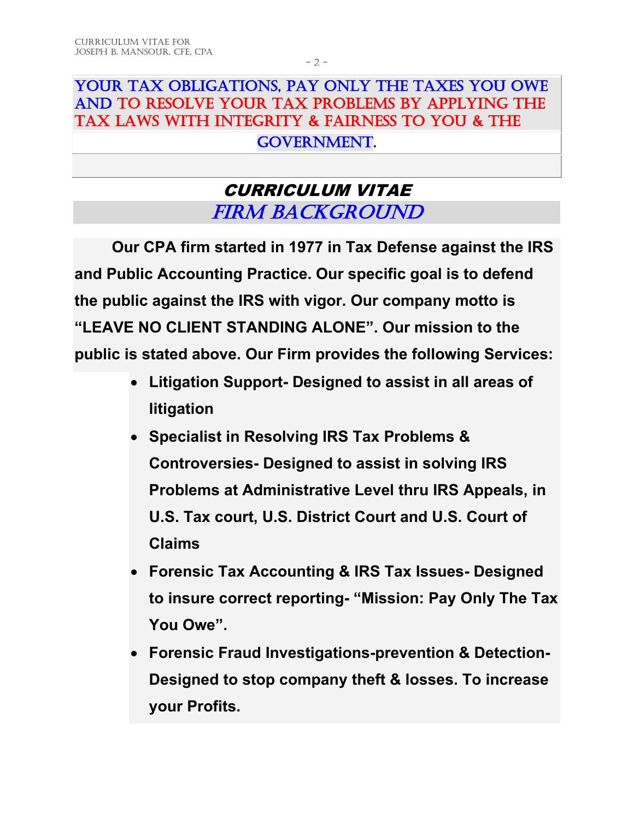## YOUR TAX OBLIGATIONS, PAY ONLY THE TAXES YOU OWE AND TO RESOLVE YOUR TAX PROBLEMS BY APPLYING THE TAX LAWS WITH INTEGRITY & FAIRNESS TO YOU & THE

#### GOVERNMENT.

## CURRICULUM VITAE FIRM BACKGROUND

**Our CPA firm started in 1977 in Tax Defense against the IRS and Public Accounting Practice. Our specific goal is to defend the public against the IRS with vigor. Our company motto is "LEAVE NO CLIENT STANDING ALONE". Our mission to the public is stated above. Our Firm provides the following Services:**

- **Litigation Support- Designed to assist in all areas of litigation**
- **Specialist in Resolving IRS Tax Problems & Controversies- Designed to assist in solving IRS Problems at Administrative Level thru IRS Appeals, in U.S. Tax court, U.S. District Court and U.S. Court of Claims**
- **Forensic Tax Accounting & IRS Tax Issues- Designed to insure correct reporting- "Mission: Pay Only The Tax You Owe".**
- **Forensic Fraud Investigations-prevention & Detection-Designed to stop company theft & losses. To increase your Profits.**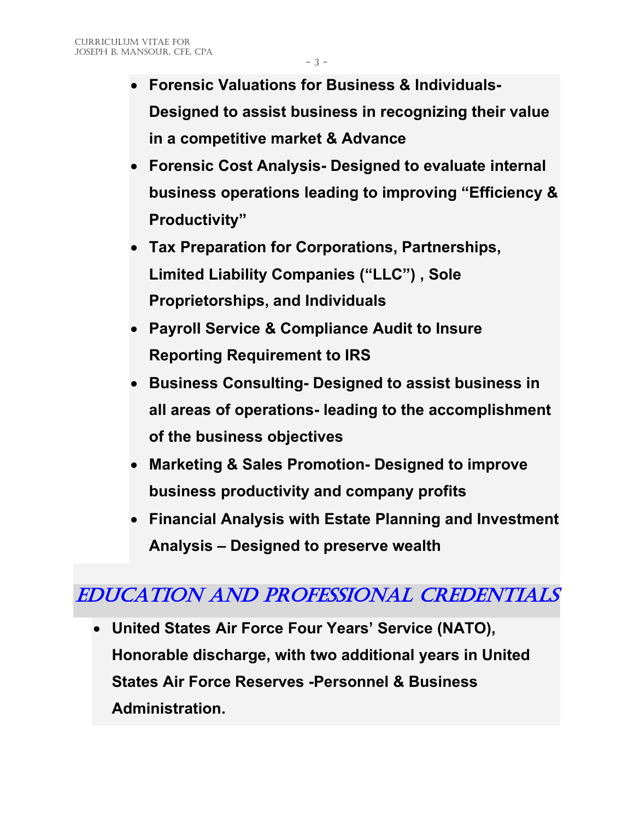- **Forensic Valuations for Business & Individuals-Designed to assist business in recognizing their value in a competitive market & Advance**
- **Forensic Cost Analysis- Designed to evaluate internal business operations leading to improving "Efficiency & Productivity"**
- **Tax Preparation for Corporations, Partnerships, Limited Liability Companies ("LLC") , Sole Proprietorships, and Individuals**
- **Payroll Service & Compliance Audit to Insure Reporting Requirement to IRS**
- **Business Consulting- Designed to assist business in all areas of operations- leading to the accomplishment of the business objectives**
- **Marketing & Sales Promotion- Designed to improve business productivity and company profits**
- **Financial Analysis with Estate Planning and Investment Analysis – Designed to preserve wealth**

# EDUCATION and PROFESSIONAL CREDENTIALS

• **United States Air Force Four Years' Service (NATO), Honorable discharge, with two additional years in United States Air Force Reserves -Personnel & Business Administration.**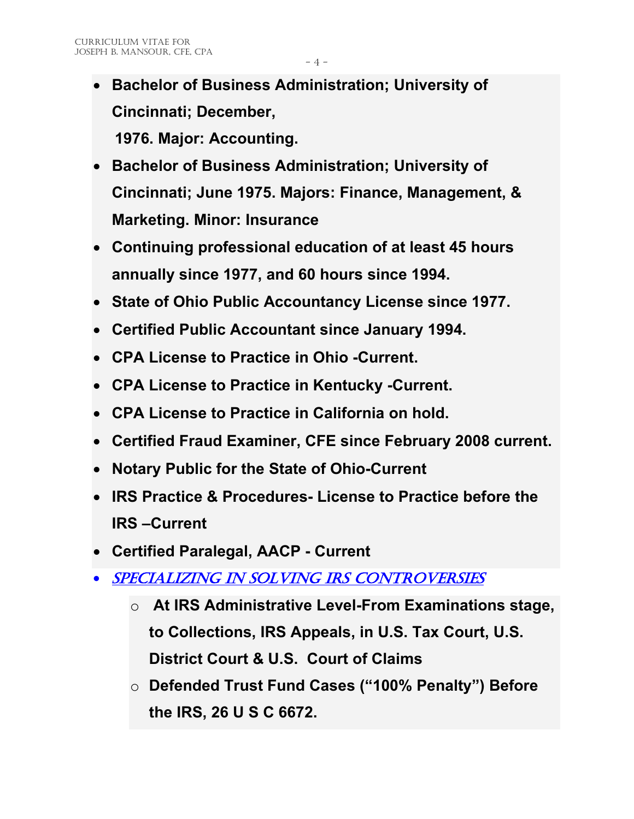- **Bachelor of Business Administration; University of Cincinnati; December, 1976. Major: Accounting.**
- **Bachelor of Business Administration; University of Cincinnati; June 1975. Majors: Finance, Management, & Marketing. Minor: Insurance**
- **Continuing professional education of at least 45 hours annually since 1977, and 60 hours since 1994.**
- **State of Ohio Public Accountancy License since 1977.**
- **Certified Public Accountant since January 1994.**
- **CPA License to Practice in Ohio -Current.**
- **CPA License to Practice in Kentucky -Current.**
- **CPA License to Practice in California on hold.**
- **Certified Fraud Examiner, CFE since February 2008 current.**
- **Notary Public for the State of Ohio-Current**
- **IRS Practice & Procedures- License to Practice before the IRS –Current**
- **Certified Paralegal, AACP - Current**
- Specializing in Solving IRS Controversies
	- o **At IRS Administrative Level-From Examinations stage, to Collections, IRS Appeals, in U.S. Tax Court, U.S. District Court & U.S. Court of Claims**
	- o **Defended Trust Fund Cases ("100% Penalty") Before the IRS, 26 U S C 6672.**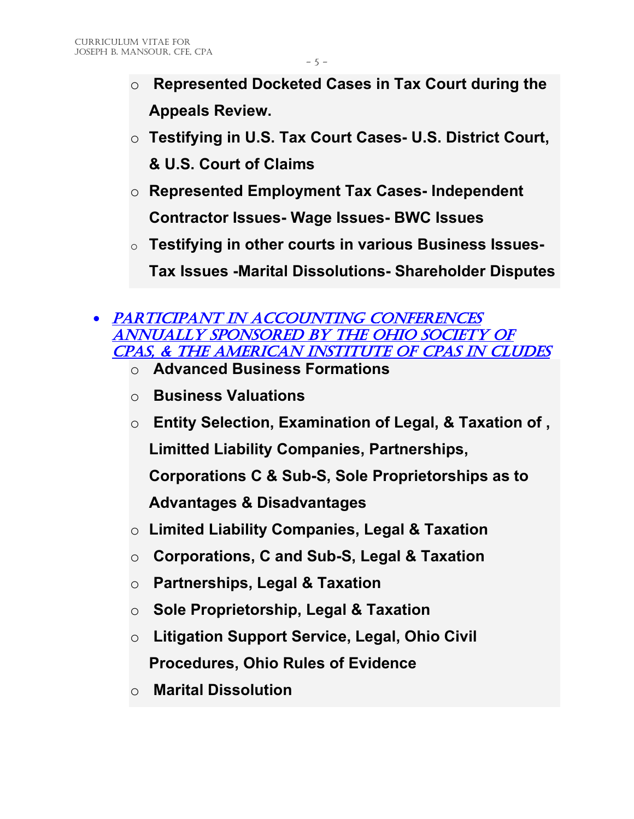- o **Represented Docketed Cases in Tax Court during the Appeals Review.**
- o **Testifying in U.S. Tax Court Cases- U.S. District Court, & U.S. Court of Claims**
- o **Represented Employment Tax Cases- Independent Contractor Issues- Wage Issues- BWC Issues**
- o **Testifying in other courts in various Business Issues-Tax Issues -Marital Dissolutions- Shareholder Disputes**
- PARTICIPANT IN ACCOUNTING CONFERENCES Annually sponsored by the Ohio Society of CPAs, & the American Institute of CPAs IN CLUDES
	- o **Advanced Business Formations**
	- o **Business Valuations**
	- o **Entity Selection, Examination of Legal, & Taxation of , Limitted Liability Companies, Partnerships, Corporations C & Sub-S, Sole Proprietorships as to Advantages & Disadvantages**
	- o **Limited Liability Companies, Legal & Taxation**
	- o **Corporations, C and Sub-S, Legal & Taxation**
	- o **Partnerships, Legal & Taxation**
	- o **Sole Proprietorship, Legal & Taxation**
	- o **Litigation Support Service, Legal, Ohio Civil Procedures, Ohio Rules of Evidence**
	- o **Marital Dissolution**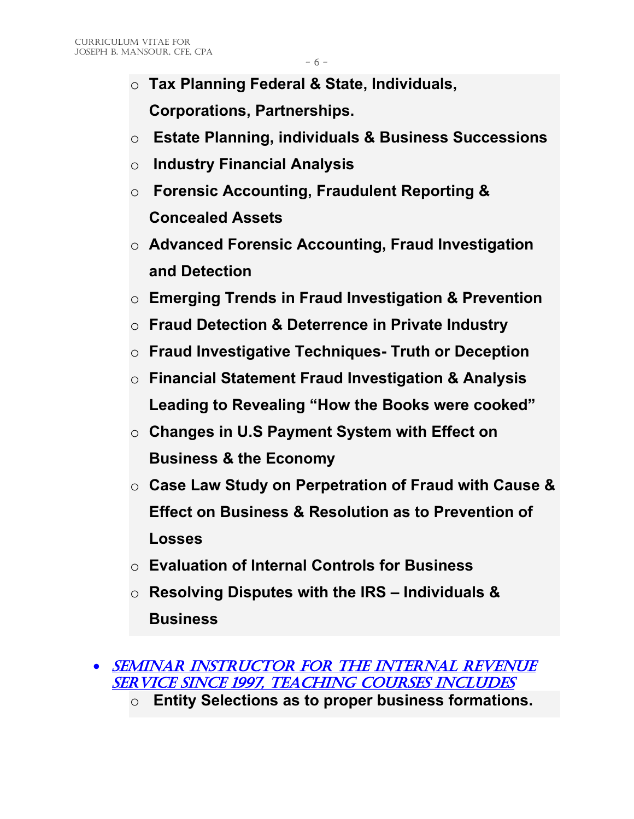- o **Tax Planning Federal & State, Individuals, Corporations, Partnerships.**
- o **Estate Planning, individuals & Business Successions**
- o **Industry Financial Analysis**
- o **Forensic Accounting, Fraudulent Reporting & Concealed Assets**
- o **Advanced Forensic Accounting, Fraud Investigation and Detection**
- o **Emerging Trends in Fraud Investigation & Prevention**
- o **Fraud Detection & Deterrence in Private Industry**
- o **Fraud Investigative Techniques- Truth or Deception**
- o **Financial Statement Fraud Investigation & Analysis Leading to Revealing "How the Books were cooked"**
- o **Changes in U.S Payment System with Effect on Business & the Economy**
- o **Case Law Study on Perpetration of Fraud with Cause & Effect on Business & Resolution as to Prevention of Losses**
- o **Evaluation of Internal Controls for Business**
- o **Resolving Disputes with the IRS – Individuals & Business**

o **Entity Selections as to proper business formations.**

<sup>•</sup> Seminar Instructor for the Internal Revenue Service Since 1997, teaching courses includes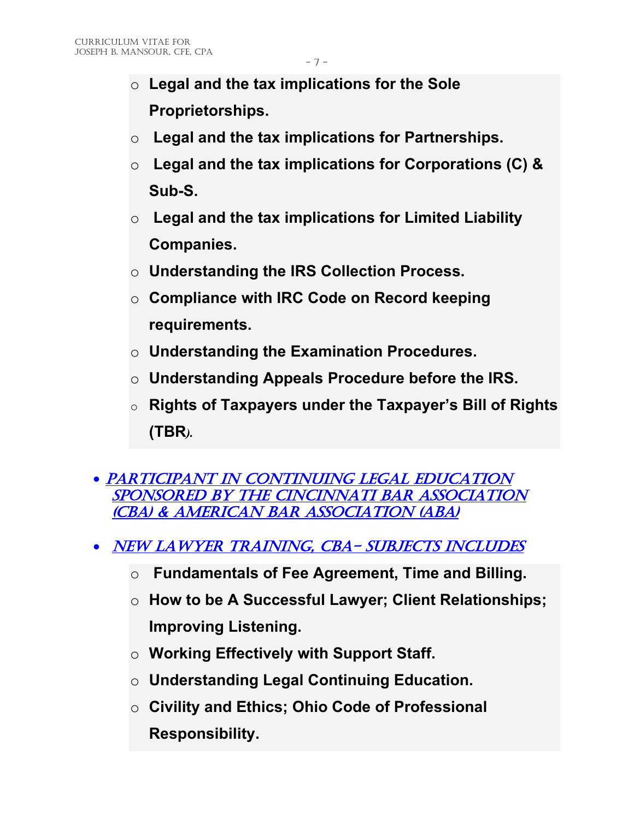- o **Legal and the tax implications for the Sole Proprietorships.**
- o **Legal and the tax implications for Partnerships.**
- o **Legal and the tax implications for Corporations (C) & Sub-S.**
- o **Legal and the tax implications for Limited Liability Companies.**
- o **Understanding the IRS Collection Process.**
- o **Compliance with IRC Code on Record keeping requirements.**
- o **Understanding the Examination Procedures.**
- o **Understanding Appeals Procedure before the IRS.**
- o **Rights of Taxpayers under the Taxpayer's Bill of Rights (TBR***).*
- PARTICIPANT IN CONTINUING LEGAL EDUCATION Sponsored by the Cincinnati Bar Association (CBA) & American bar association (ABA)
- NEW LAWYER TRAINING, CBA- SUBJECTS INCLUDES
	- o **Fundamentals of Fee Agreement, Time and Billing.**
	- o **How to be A Successful Lawyer; Client Relationships; Improving Listening.**
	- o **Working Effectively with Support Staff.**
	- o **Understanding Legal Continuing Education.**
	- o **Civility and Ethics; Ohio Code of Professional Responsibility.**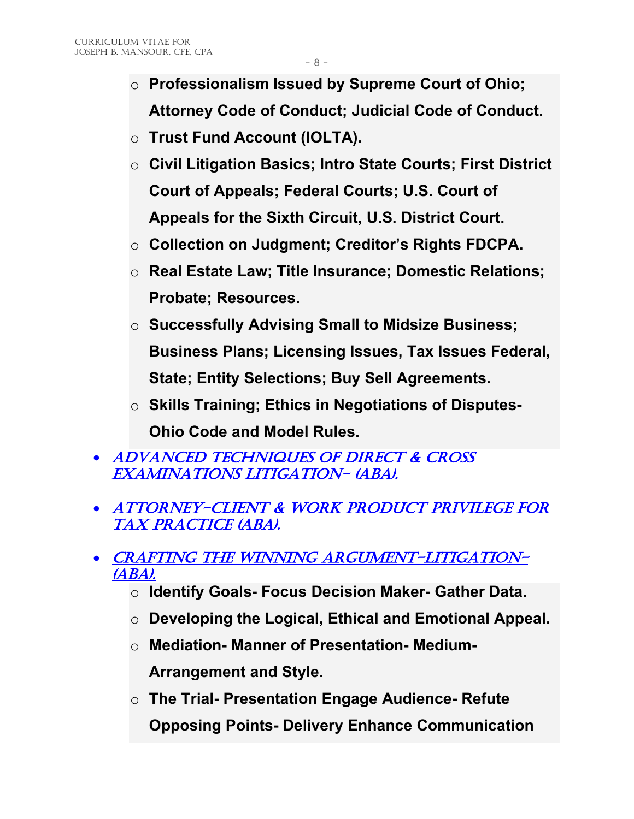- o **Professionalism Issued by Supreme Court of Ohio; Attorney Code of Conduct; Judicial Code of Conduct.**
- o **Trust Fund Account (IOLTA).**
- o **Civil Litigation Basics; Intro State Courts; First District Court of Appeals; Federal Courts; U.S. Court of Appeals for the Sixth Circuit, U.S. District Court.**
- o **Collection on Judgment; Creditor's Rights FDCPA.**
- o **Real Estate Law; Title Insurance; Domestic Relations; Probate; Resources.**
- o **Successfully Advising Small to Midsize Business; Business Plans; Licensing Issues, Tax Issues Federal, State; Entity Selections; Buy Sell Agreements.**
- o **Skills Training; Ethics in Negotiations of Disputes-Ohio Code and Model Rules.**
- ADVANCED TECHNIQUES OF DIRECT & CROSS examinations litigation- (ABA).
- ATTORNEY-CLIENT & WORK PRODUCT PRIVILEGE FOR tax practice (aba).
- CRAFTING THE WINNING ARGUMENT-LITIGATION-(ABA).
	- o **Identify Goals- Focus Decision Maker- Gather Data.**
	- o **Developing the Logical, Ethical and Emotional Appeal.**
	- o **Mediation- Manner of Presentation- Medium-Arrangement and Style.**
	- o **The Trial- Presentation Engage Audience- Refute Opposing Points- Delivery Enhance Communication**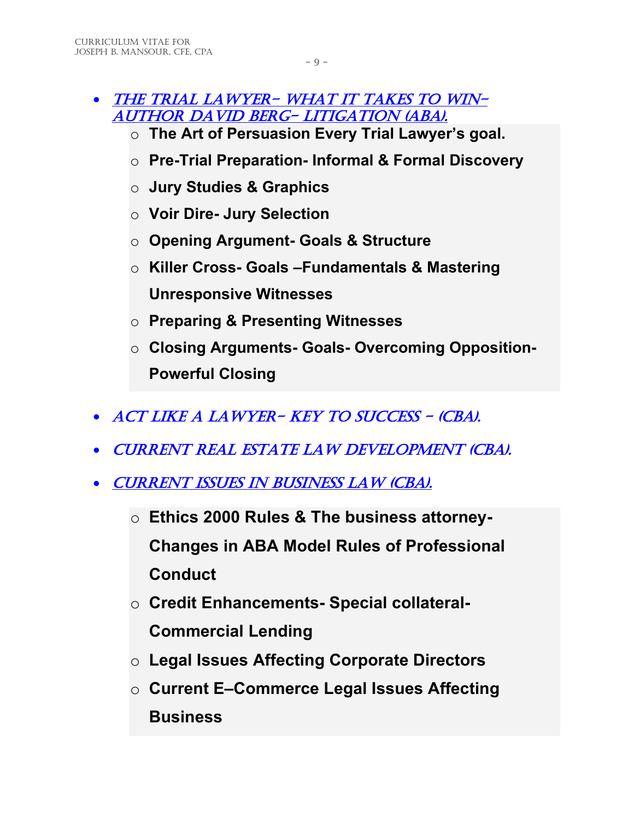- THE TRIAL LAWYER- WHAT IT TAKES TO WIN-Author David Berg- litigation (ABA).
	- o **The Art of Persuasion Every Trial Lawyer's goal.**
	- o **Pre-Trial Preparation- Informal & Formal Discovery**
	- o **Jury Studies & Graphics**
	- o **Voir Dire- Jury Selection**
	- o **Opening Argument- Goals & Structure**
	- o **Killer Cross- Goals –Fundamentals & Mastering Unresponsive Witnesses**
	- o **Preparing & Presenting Witnesses**
	- o **Closing Arguments- Goals- Overcoming Opposition-Powerful Closing**
- ACT LIKE A LAWYER-KEY TO SUCCESS (CBA).
- Current real estate law development (cba).
- CURRENT ISSUES IN BUSINESS LAW (CBA).
	- o **Ethics 2000 Rules & The business attorney-Changes in ABA Model Rules of Professional Conduct**
	- o **Credit Enhancements- Special collateral-Commercial Lending**
	- o **Legal Issues Affecting Corporate Directors**
	- o **Current E–Commerce Legal Issues Affecting Business**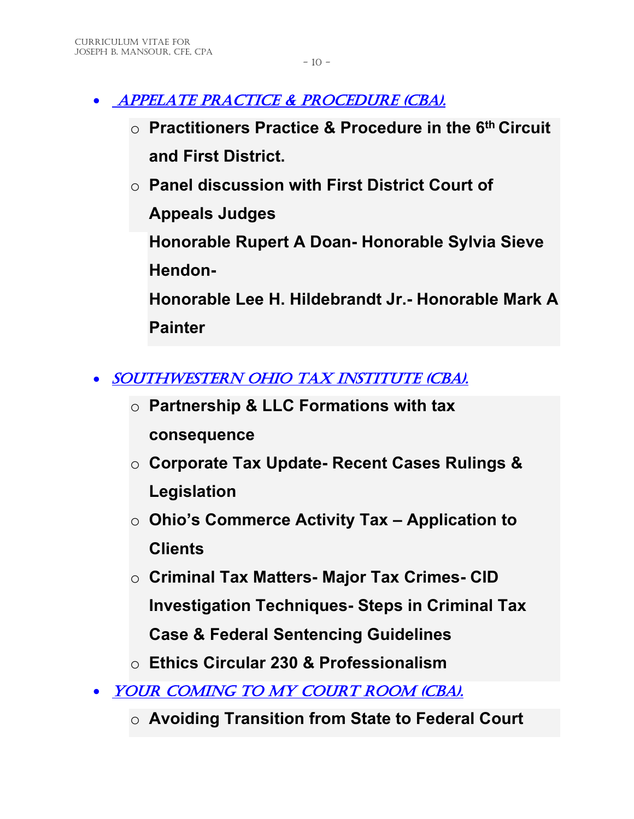- APPELATE PRACTICE & PROCEDURE (CBA).
	- o **Practitioners Practice & Procedure in the 6th Circuit and First District.**
	- o **Panel discussion with First District Court of Appeals Judges Honorable Rupert A Doan- Honorable Sylvia Sieve Hendon-Honorable Lee H. Hildebrandt Jr.- Honorable Mark A Painter**
- SOUTHWESTERN OHIO TAX INSTITUTE (CBA).
	- o **Partnership & LLC Formations with tax consequence**
	- o **Corporate Tax Update- Recent Cases Rulings & Legislation**
	- o **Ohio's Commerce Activity Tax – Application to Clients**
	- o **Criminal Tax Matters- Major Tax Crimes- CID Investigation Techniques- Steps in Criminal Tax Case & Federal Sentencing Guidelines**
	- o **Ethics Circular 230 & Professionalism**
- YOUR COMING TO MY COURT ROOM (CBA).
	- o **Avoiding Transition from State to Federal Court**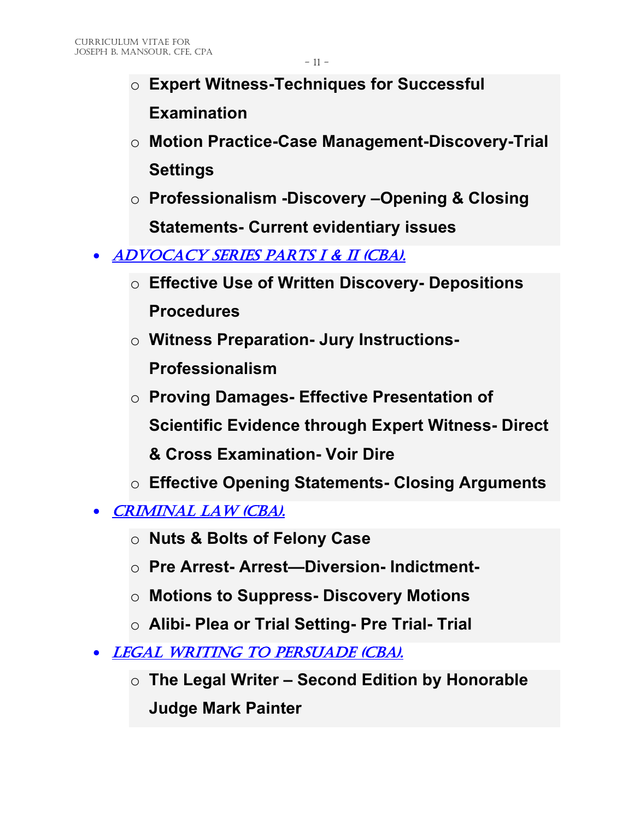- o **Expert Witness-Techniques for Successful Examination**
- o **Motion Practice-Case Management-Discovery-Trial Settings**
- o **Professionalism -Discovery –Opening & Closing Statements- Current evidentiary issues**
- ADVOCACY SERIES PARTS I & II (CBA).
	- o **Effective Use of Written Discovery- Depositions Procedures**
	- o **Witness Preparation- Jury Instructions-Professionalism**
	- o **Proving Damages- Effective Presentation of Scientific Evidence through Expert Witness- Direct & Cross Examination- Voir Dire**
	- o **Effective Opening Statements- Closing Arguments**
- CRIMINAL LAW (CBA).
	- o **Nuts & Bolts of Felony Case**
	- o **Pre Arrest- Arrest—Diversion- Indictment-**
	- o **Motions to Suppress- Discovery Motions**
	- o **Alibi- Plea or Trial Setting- Pre Trial- Trial**
- LEGAL WRITING TO PERSUADE (CBA).
	- o **The Legal Writer – Second Edition by Honorable Judge Mark Painter**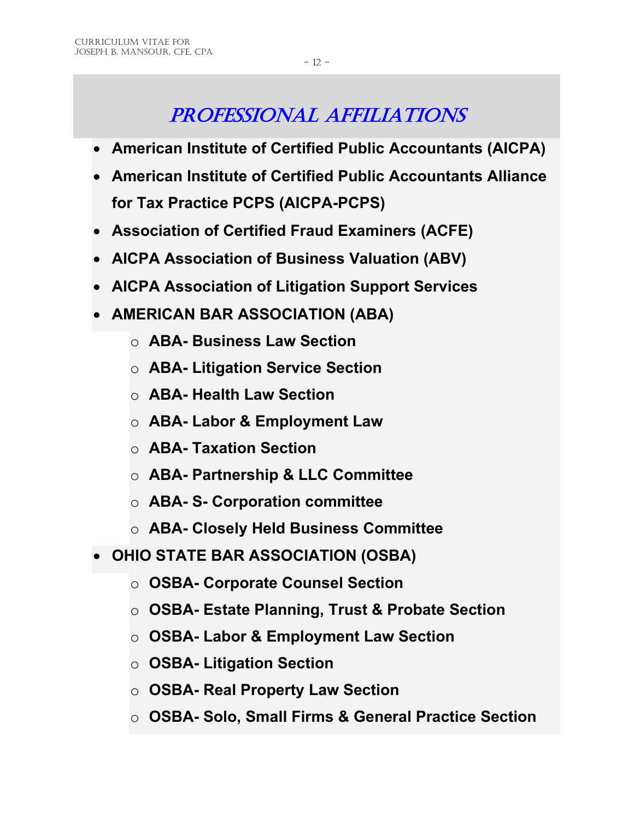# PROFESSIONAL AFFILIATIONS

- **American Institute of Certified Public Accountants (AICPA)**
- **American Institute of Certified Public Accountants Alliance for Tax Practice PCPS (AICPA-PCPS)**
- **Association of Certified Fraud Examiners (ACFE)**
- **AICPA Association of Business Valuation (ABV)**
- **AICPA Association of Litigation Support Services**
- **AMERICAN BAR ASSOCIATION (ABA)**
	- o **ABA- Business Law Section**
	- o **ABA- Litigation Service Section**
	- o **ABA- Health Law Section**
	- o **ABA- Labor & Employment Law**
	- o **ABA- Taxation Section**
	- o **ABA- Partnership & LLC Committee**
	- o **ABA- S- Corporation committee**
	- o **ABA- Closely Held Business Committee**
- **OHIO STATE BAR ASSOCIATION (OSBA)**
	- o **OSBA- Corporate Counsel Section**
	- o **OSBA- Estate Planning, Trust & Probate Section**
	- o **OSBA- Labor & Employment Law Section**
	- o **OSBA- Litigation Section**
	- o **OSBA- Real Property Law Section**
	- o **OSBA- Solo, Small Firms & General Practice Section**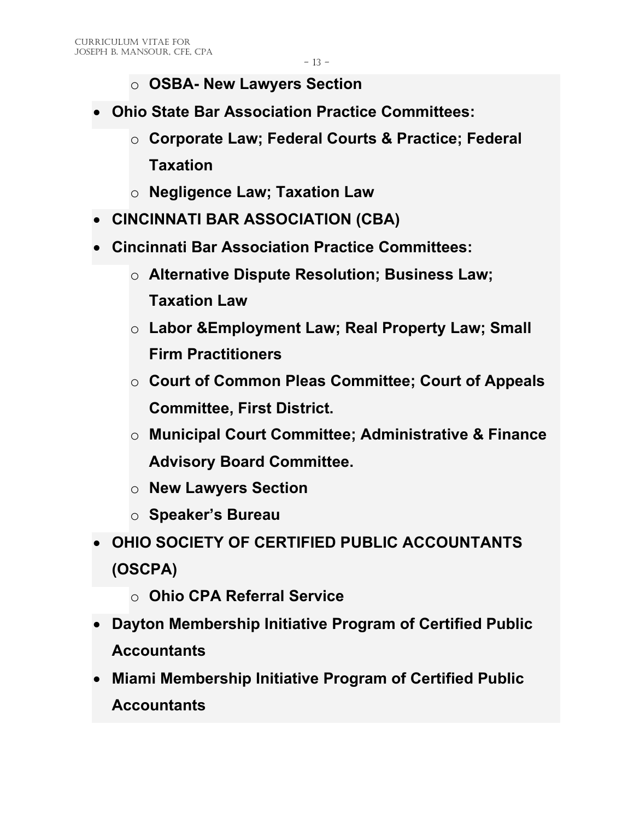- o **OSBA- New Lawyers Section**
- **Ohio State Bar Association Practice Committees:**
	- o **Corporate Law; Federal Courts & Practice; Federal Taxation**
	- o **Negligence Law; Taxation Law**
- **CINCINNATI BAR ASSOCIATION (CBA)**
- **Cincinnati Bar Association Practice Committees:**
	- o **Alternative Dispute Resolution; Business Law; Taxation Law**
	- o **Labor &Employment Law; Real Property Law; Small Firm Practitioners**
	- o **Court of Common Pleas Committee; Court of Appeals Committee, First District.**
	- o **Municipal Court Committee; Administrative & Finance Advisory Board Committee.**
	- o **New Lawyers Section**
	- o **Speaker's Bureau**
- **OHIO SOCIETY OF CERTIFIED PUBLIC ACCOUNTANTS (OSCPA)**
	- o **Ohio CPA Referral Service**
- **Dayton Membership Initiative Program of Certified Public Accountants**
- **Miami Membership Initiative Program of Certified Public Accountants**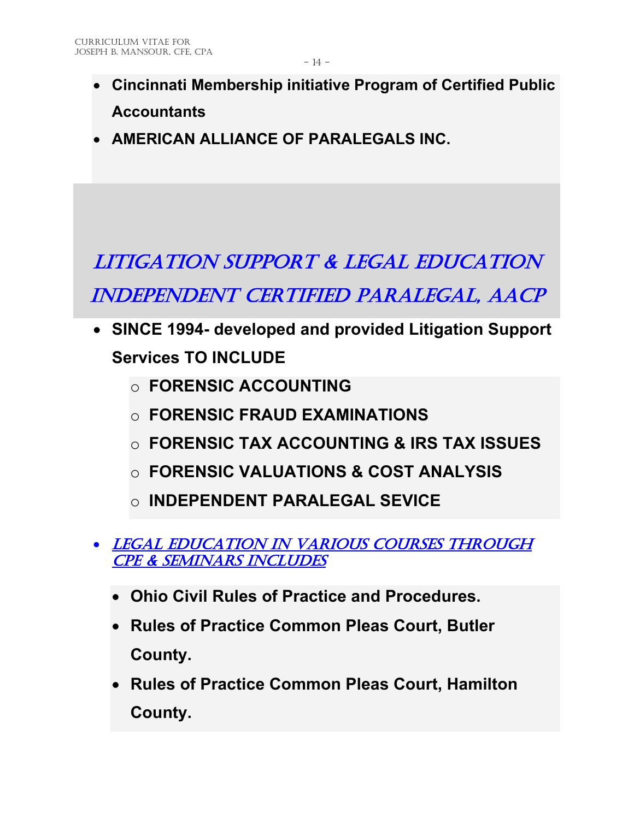- **Cincinnati Membership initiative Program of Certified Public Accountants**
- **AMERICAN ALLIANCE OF PARALEGALS INC.**

LITIGATION SUPPORT & LEGAL EDUCATION INDEPENDENT CERTIFIED PARALEGAL, AACP

- **SINCE 1994- developed and provided Litigation Support Services TO INCLUDE**
	- o **FORENSIC ACCOUNTING**
	- o **FORENSIC FRAUD EXAMINATIONS**
	- o **FORENSIC TAX ACCOUNTING & IRS TAX ISSUES**
	- o **FORENSIC VALUATIONS & COST ANALYSIS**
	- o **INDEPENDENT PARALEGAL SEVICE**
- LEGAL EDUCATION IN VARIOUS COURSES THROUGH CPE & seminars INCLUDES
	- **Ohio Civil Rules of Practice and Procedures.**
	- **Rules of Practice Common Pleas Court, Butler County.**
	- **Rules of Practice Common Pleas Court, Hamilton County.**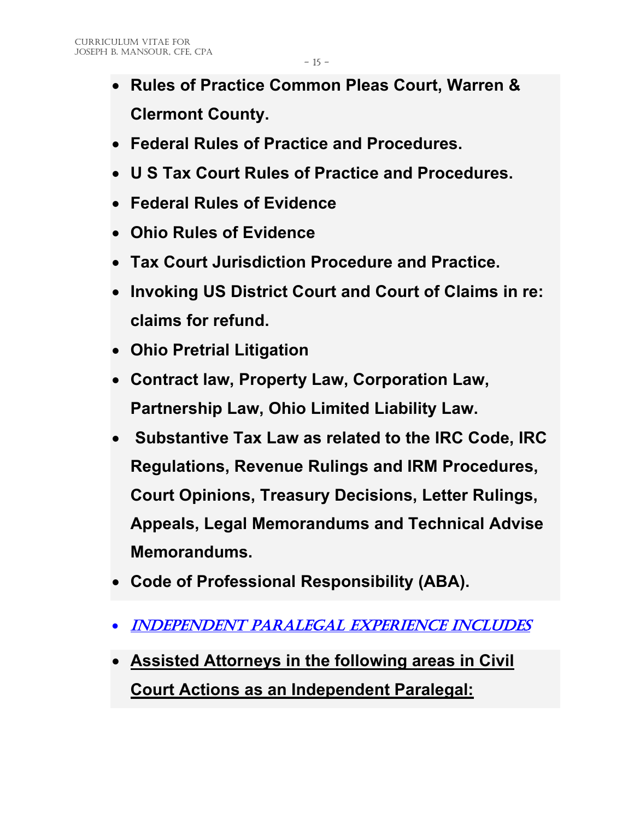- **Rules of Practice Common Pleas Court, Warren & Clermont County.**
- **Federal Rules of Practice and Procedures.**
- **U S Tax Court Rules of Practice and Procedures.**
- **Federal Rules of Evidence**
- **Ohio Rules of Evidence**
- **Tax Court Jurisdiction Procedure and Practice.**
- **Invoking US District Court and Court of Claims in re: claims for refund.**
- **Ohio Pretrial Litigation**
- **Contract law, Property Law, Corporation Law, Partnership Law, Ohio Limited Liability Law.**
- **Substantive Tax Law as related to the IRC Code, IRC Regulations, Revenue Rulings and IRM Procedures, Court Opinions, Treasury Decisions, Letter Rulings, Appeals, Legal Memorandums and Technical Advise Memorandums.**
- **Code of Professional Responsibility (ABA).**
- INDEPENDENT PARALEGAL EXPERIENCE INCLUDES
- **Assisted Attorneys in the following areas in Civil Court Actions as an Independent Paralegal:**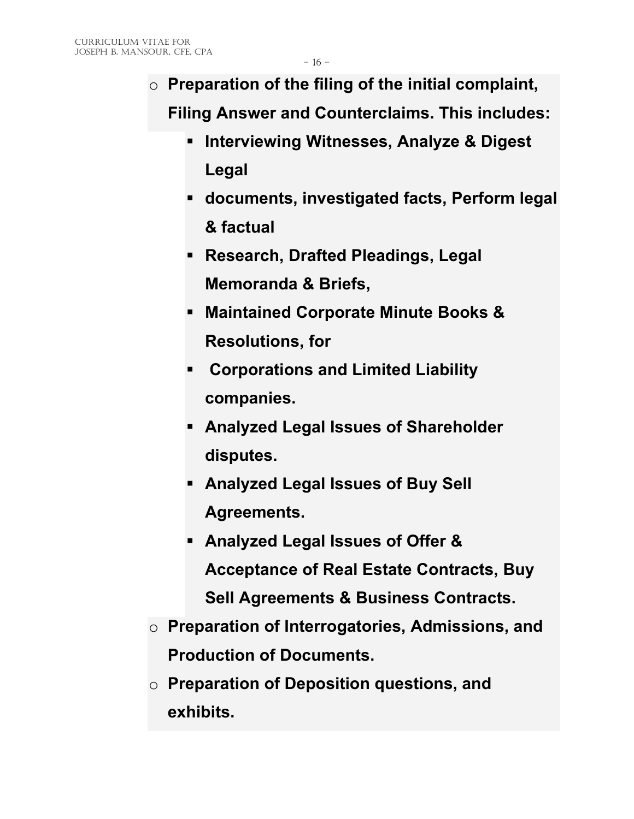- o **Preparation of the filing of the initial complaint, Filing Answer and Counterclaims. This includes:**
	- **Interviewing Witnesses, Analyze & Digest Legal**
	- **documents, investigated facts, Perform legal & factual**
	- **Research, Drafted Pleadings, Legal Memoranda & Briefs,**
	- **Maintained Corporate Minute Books & Resolutions, for**
	- **Corporations and Limited Liability companies.**
	- **Analyzed Legal Issues of Shareholder disputes.**
	- **Analyzed Legal Issues of Buy Sell Agreements.**
	- **Analyzed Legal Issues of Offer & Acceptance of Real Estate Contracts, Buy Sell Agreements & Business Contracts.**
- o **Preparation of Interrogatories, Admissions, and Production of Documents.**
- o **Preparation of Deposition questions, and exhibits.**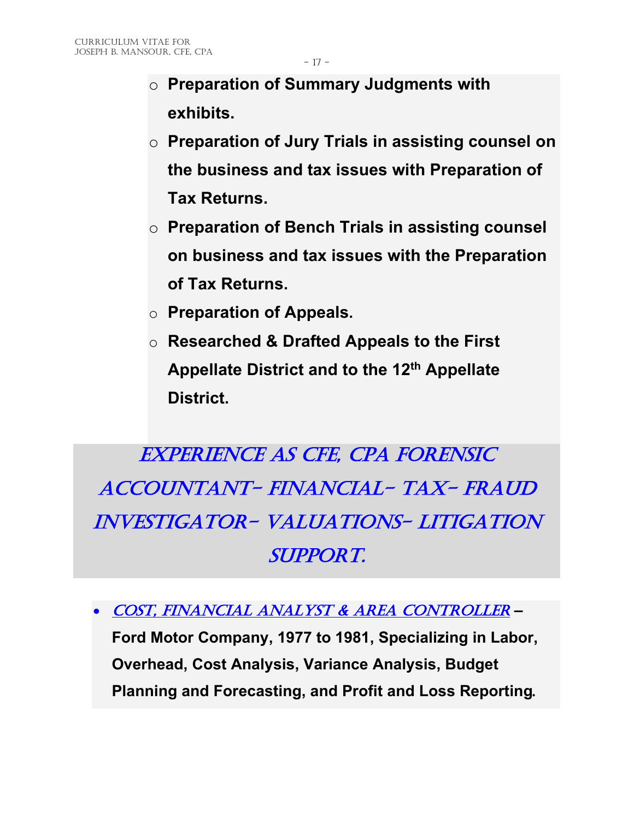- o **Preparation of Summary Judgments with exhibits.**
- o **Preparation of Jury Trials in assisting counsel on the business and tax issues with Preparation of Tax Returns.**
- o **Preparation of Bench Trials in assisting counsel on business and tax issues with the Preparation of Tax Returns.**
- o **Preparation of Appeals.**
- o **Researched & Drafted Appeals to the First Appellate District and to the 12th Appellate District.**

EXPERIENCE AS CFE, CPA FORENSIC ACCOUNTANT- FINANCIAL- TAX- FRAUD INVESTIGATOR- VALUATIONS- LITIGATION SUPPORT.

• Cost, Financial Analyst & Area Controller *–*

**Ford Motor Company, 1977 to 1981, Specializing in Labor, Overhead, Cost Analysis, Variance Analysis, Budget Planning and Forecasting, and Profit and Loss Reporting***.*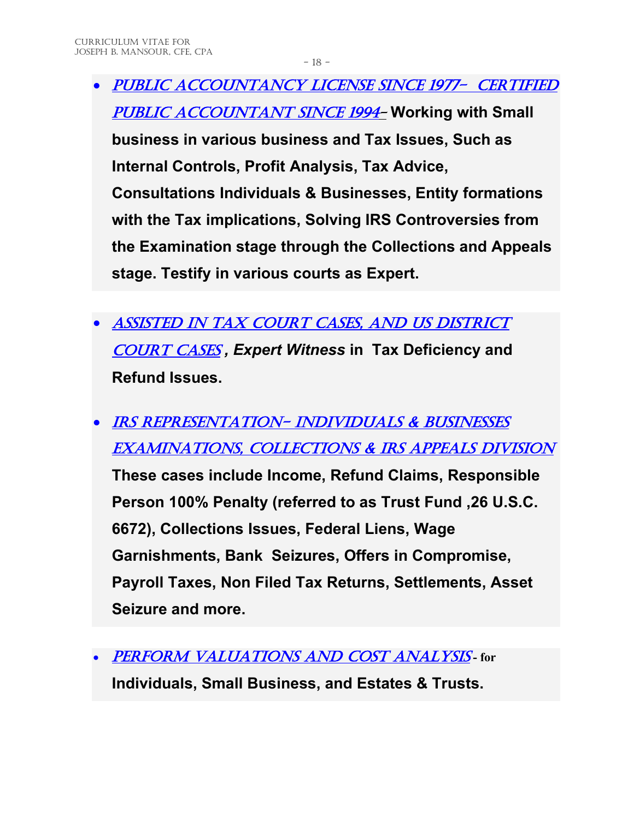- Public Accountancy License since 1977- Certified Public Accountant since 1994- **Working with Small business in various business and Tax Issues, Such as Internal Controls, Profit Analysis, Tax Advice, Consultations Individuals & Businesses, Entity formations with the Tax implications, Solving IRS Controversies from the Examination stage through the Collections and Appeals stage. Testify in various courts as Expert.**
- ASSISTED IN TAX COURT CASES, AND US DISTRICT **COURT CASES, Expert Witness in Tax Deficiency and Refund Issues.**
- IRS REPRESENTATION- INDIVIDUALS & BUSINESSES EXAMINATIONS, COLLECTIONS & IRS APPEALS DIVISION **These cases include Income, Refund Claims, Responsible Person 100% Penalty (referred to as Trust Fund ,26 U.S.C. 6672), Collections Issues, Federal Liens, Wage Garnishments, Bank Seizures, Offers in Compromise, Payroll Taxes, Non Filed Tax Returns, Settlements, Asset Seizure and more.**
- Perform Valuations and Cost Analysis **- for Individuals, Small Business, and Estates & Trusts.**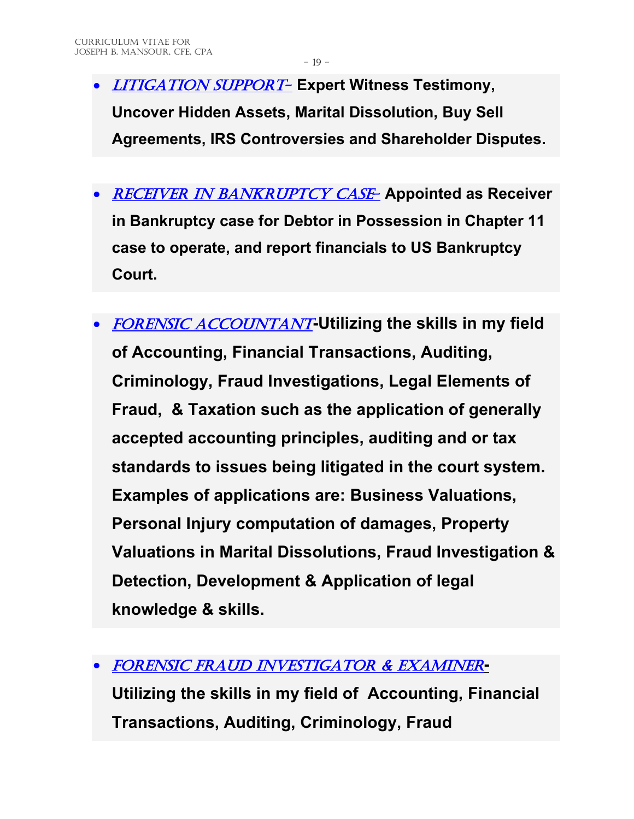- Litigation Support- **Expert Witness Testimony, Uncover Hidden Assets, Marital Dissolution, Buy Sell Agreements, IRS Controversies and Shareholder Disputes.**
- Receiver in bankruptcy case- **Appointed as Receiver in Bankruptcy case for Debtor in Possession in Chapter 11 case to operate, and report financials to US Bankruptcy Court.**
- FORENSIC ACCOUNTANT-Utilizing the skills in my field **of Accounting, Financial Transactions, Auditing, Criminology, Fraud Investigations, Legal Elements of Fraud, & Taxation such as the application of generally accepted accounting principles, auditing and or tax standards to issues being litigated in the court system. Examples of applications are: Business Valuations, Personal Injury computation of damages, Property Valuations in Marital Dissolutions, Fraud Investigation & Detection, Development & Application of legal knowledge & skills.**
- FORENSIC FRAUD INVESTIGATOR & EXAMINER**-Utilizing the skills in my field of Accounting, Financial Transactions, Auditing, Criminology, Fraud**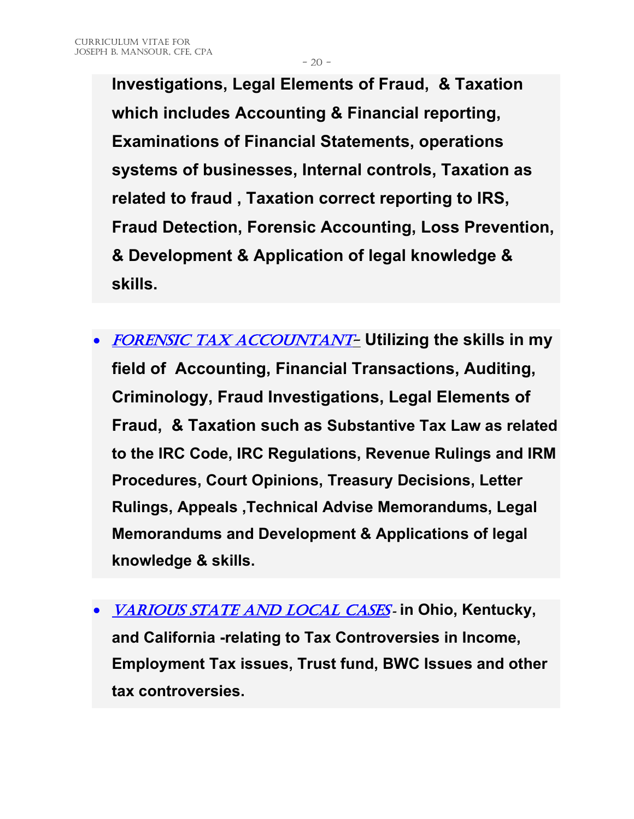- 20 -

**Investigations, Legal Elements of Fraud, & Taxation which includes Accounting & Financial reporting, Examinations of Financial Statements, operations systems of businesses, Internal controls, Taxation as related to fraud , Taxation correct reporting to IRS, Fraud Detection, Forensic Accounting, Loss Prevention, & Development & Application of legal knowledge & skills.**

- FORENSIC TAX ACCOUNTANT- **Utilizing the skills in my field of Accounting, Financial Transactions, Auditing, Criminology, Fraud Investigations, Legal Elements of Fraud, & Taxation such as Substantive Tax Law as related to the IRC Code, IRC Regulations, Revenue Rulings and IRM Procedures, Court Opinions, Treasury Decisions, Letter Rulings, Appeals ,Technical Advise Memorandums, Legal Memorandums and Development & Applications of legal knowledge & skills.**
- Various state and local cases *-* **in Ohio, Kentucky, and California -relating to Tax Controversies in Income, Employment Tax issues, Trust fund, BWC Issues and other tax controversies.**